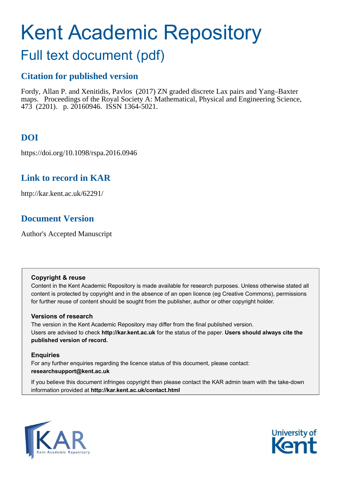# Kent Academic Repository

## Full text document (pdf)

## **Citation for published version**

Fordy, Allan P. and Xenitidis, Pavlos (2017) ZN graded discrete Lax pairs and Yang–Baxter maps. Proceedings of the Royal Society A: Mathematical, Physical and Engineering Science, 473 (2201). p. 20160946. ISSN 1364-5021.

## **DOI**

https://doi.org/10.1098/rspa.2016.0946

## **Link to record in KAR**

http://kar.kent.ac.uk/62291/

## **Document Version**

Author's Accepted Manuscript

#### **Copyright & reuse**

Content in the Kent Academic Repository is made available for research purposes. Unless otherwise stated all content is protected by copyright and in the absence of an open licence (eg Creative Commons), permissions for further reuse of content should be sought from the publisher, author or other copyright holder.

#### **Versions of research**

The version in the Kent Academic Repository may differ from the final published version. Users are advised to check **http://kar.kent.ac.uk** for the status of the paper. **Users should always cite the published version of record.**

#### **Enquiries**

For any further enquiries regarding the licence status of this document, please contact: **researchsupport@kent.ac.uk**

If you believe this document infringes copyright then please contact the KAR admin team with the take-down information provided at **http://kar.kent.ac.uk/contact.html**



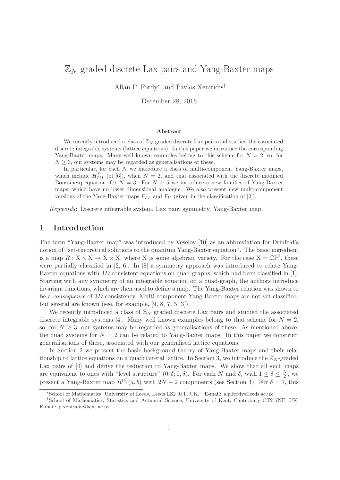## $\mathbb{Z}_N$  graded discrete Lax pairs and Yang-Baxter maps

Allan P. Fordy<sup>∗</sup> and Pavlos Xenitidis†

December 28, 2016

#### Abstract

We recently introduced a class of  $\mathbb{Z}_N$  graded discrete Lax pairs and studied the associated discrete integrable systems (lattice equations). In this paper we introduce the corresponding Yang-Baxter maps. Many well known examples belong to this scheme for  $N = 2$ , so, for  $N \geq 3$ , our systems may be regarded as generalisations of these.

In particular, for each N we introduce a class of multi-component Yang-Baxter maps, which include  $H_{III}^B$  (of [6]), when  $N = 2$ , and that associated with the discrete modified Boussinesq equation, for  $N = 3$ . For  $N \geq 5$  we introduce a new families of Yang-Baxter maps, which have no lower dimensional analogue. We also present new multi-component versions of the Yang-Baxter maps  $F_{IV}$  and  $F_{V}$  (given in the classification of [2]).

Keywords: Discrete integrable system, Lax pair, symmetry, Yang-Baxter map.

#### 1 Introduction

The term "Yang-Baxter map" was introduced by Veselov [10] as an abbreviation for Drinfeld's notion of "set-theoretical solutions to the quantum Yang-Baxter equation". The basic ingredient is a map  $R: X \times X \to X \times X$ , where X is some algebraic variety. For the case  $X = \mathbb{CP}^1$ , these were partially classified in [2, 6]. In [8] a symmetry approach was introduced to relate Yang-Baxter equations with 3D consistent equations on quad-graphs, which had been classified in [1]. Starting with any symmetry of an integrable equation on a quad-graph, the authors introduce invariant functions, which are then used to define a map. The Yang-Baxter relation was shown to be a *consequence* of 3D consistency. Multi-component Yang-Baxter maps are not yet classified, but several are known (see, for example, [9, 8, 7, 5, 3]).

We recently introduced a class of  $\mathbb{Z}_N$  graded discrete Lax pairs and studied the associated discrete integrable systems [4]. Many well known examples belong to that scheme for  $N = 2$ , so, for  $N \geq 3$ , our systems may be regarded as generalisations of these. As mentioned above, the quad systems for  $N = 2$  can be related to Yang-Baxter maps. In this paper we construct generalisations of these, associated with our generalised lattice equations.

In Section 2 we present the basic background theory of Yang-Baxter maps and their relationship to lattice equations on a quadrilateral lattice. In Section 3, we introduce the  $\mathbb{Z}_N$ -graded Lax pairs of [4] and derive the reduction to Yang-Baxter maps. We show that all such maps are equivalent to ones with "level structure"  $(0, \delta; 0, \delta)$ . For each N and  $\delta$ , with  $1 \leq \delta \leq \frac{N}{2}$ , we present a Yang-Baxter map  $R^{(\delta)}(a, b)$  with  $2N - 2$  components (see Section 4). For  $\delta = 1$ , this

<sup>∗</sup> School of Mathematics, University of Leeds, Leeds LS2 9JT, UK. E-mail: a.p.fordy@leeds.ac.uk

<sup>†</sup>School of Mathematics, Statistics and Actuarial Science, University of Kent, Canterbury CT2 7NF, UK. E-mail: p.xenitidis@kent.ac.uk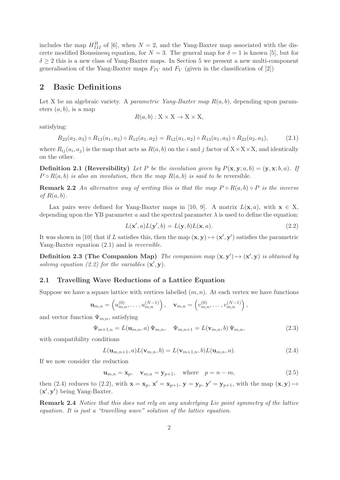includes the map  $H_{III}^B$  of [6], when  $N = 2$ , and the Yang-Baxter map associated with the discrete modified Boussinesq equation, for  $N = 3$ . The general map for  $\delta = 1$  is known [5], but for  $\delta \geq 2$  this is a new class of Yang-Baxter maps. In Section 5 we present a new multi-component generalisation of the Yang-Baxter maps  $F_{IV}$  and  $F_{V}$  (given in the classification of [2])

#### 2 Basic Definitions

Let X be an algebraic variety. A *parametric Yang-Baxter map*  $R(a, b)$ , depending upon parameters  $(a, b)$ , is a map

$$
R(a, b) : X \times X \to X \times X,
$$

satisfying:

$$
R_{23}(a_2, a_3) \circ R_{13}(a_1, a_3) \circ R_{12}(a_1, a_2) = R_{12}(a_1, a_2) \circ R_{13}(a_1, a_3) \circ R_{23}(a_2, a_3), \tag{2.1}
$$

where  $R_{ij}(a_i, a_j)$  is the map that acts as  $R(a, b)$  on the i and j factor of  $X \times X \times X$ , and identically on the other.

**Definition 2.1 (Reversibility)** Let P be the involution given by  $P(\mathbf{x}, \mathbf{y}; a, b) = (\mathbf{y}, \mathbf{x}; b, a)$ . If  $P \circ R(a, b)$  is also an involution, then the map  $R(a, b)$  is said to be reversible.

**Remark 2.2** An alternative way of writing this is that the map  $P \circ R(a, b) \circ P$  is the inverse of  $R(a, b)$ .

Lax pairs were defined for Yang-Baxter maps in [10, 9]. A matrix  $L(\mathbf{x}, a)$ , with  $\mathbf{x} \in X$ , depending upon the YB parameter a and the spectral parameter  $\lambda$  is used to define the equation:

$$
L(\mathbf{x}',a)L(\mathbf{y}',b) = L(\mathbf{y},b)L(\mathbf{x},a).
$$
\n(2.2)

It was shown in [10] that if L satisfies this, then the map  $(x, y) \mapsto (x', y')$  satisfies the parametric Yang-Baxter equation  $(2.1)$  and is *reversible*.

**Definition 2.3 (The Companion Map)** The companion map  $(\mathbf{x}, \mathbf{y}') \mapsto (\mathbf{x}', \mathbf{y})$  is obtained by solving equation (2.2) for the variables  $(x', y)$ .

#### 2.1 Travelling Wave Reductions of a Lattice Equation

Suppose we have a square lattice with vertices labelled  $(m, n)$ . At each vertex we have functions

$$
\mathbf{u}_{m,n} = \left(u_{m,n}^{(0)}, \ldots, u_{m,n}^{(N-1)}\right), \quad \mathbf{v}_{m,n} = \left(v_{m,n}^{(0)}, \ldots, v_{m,n}^{(N-1)}\right),
$$

and vector function  $\Psi_{m,n}$ , satisfying

$$
\Psi_{m+1,n} = L(\mathbf{u}_{m,n}, a) \Psi_{m,n}, \quad \Psi_{m,n+1} = L(\mathbf{v}_{m,n}, b) \Psi_{m,n}, \tag{2.3}
$$

with compatibility conditions

$$
L(\mathbf{u}_{m,n+1},a)L(\mathbf{v}_{m,n},b)=L(\mathbf{v}_{m+1,n},b)L(\mathbf{u}_{m,n},a). \qquad (2.4)
$$

If we now consider the reduction

$$
\mathbf{u}_{m,n} = \mathbf{x}_p, \quad \mathbf{v}_{m,n} = \mathbf{y}_{p+1}, \quad \text{where} \quad p = n - m,
$$
\n(2.5)

then (2.4) reduces to (2.2), with  $\mathbf{x} = \mathbf{x}_p$ ,  $\mathbf{x}' = \mathbf{x}_{p+1}$ ,  $\mathbf{y} = \mathbf{y}_p$ ,  $\mathbf{y}' = \mathbf{y}_{p+1}$ , with the map  $(\mathbf{x}, \mathbf{y}) \mapsto$  $(\mathbf{x}', \mathbf{y}')$  being Yang-Baxter.

Remark 2.4 Notice that this does not rely on any underlying Lie point symmetry of the lattice equation. It is just a "travelling wave" solution of the lattice equation.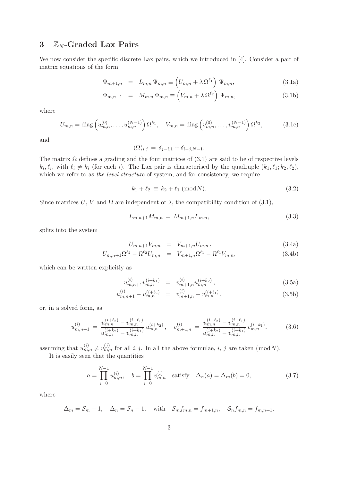### 3  $\mathbb{Z}_N$ -Graded Lax Pairs

We now consider the specific discrete Lax pairs, which we introduced in [4]. Consider a pair of matrix equations of the form

$$
\Psi_{m+1,n} = L_{m,n} \Psi_{m,n} \equiv \left( U_{m,n} + \lambda \Omega^{\ell_1} \right) \Psi_{m,n}, \qquad (3.1a)
$$

$$
\Psi_{m,n+1} = M_{m,n} \Psi_{m,n} \equiv \left( V_{m,n} + \lambda \Omega^{\ell_2} \right) \Psi_{m,n}, \qquad (3.1b)
$$

where

$$
U_{m,n} = \text{diag}\left(u_{m,n}^{(0)}, \dots, u_{m,n}^{(N-1)}\right) \Omega^{k_1}, \quad V_{m,n} = \text{diag}\left(v_{m,n}^{(0)}, \dots, v_{m,n}^{(N-1)}\right) \Omega^{k_2},\tag{3.1c}
$$

and

$$
(\Omega)_{i,j} = \delta_{j-i,1} + \delta_{i-j,N-1}.
$$

The matrix  $\Omega$  defines a grading and the four matrices of (3.1) are said to be of respective levels  $k_i, \ell_i$ , with  $\ell_i \neq k_i$  (for each i). The Lax pair is characterised by the quadruple  $(k_1, \ell_1; k_2, \ell_2)$ , which we refer to as the level structure of system, and for consistency, we require

$$
k_1 + \ell_2 \equiv k_2 + \ell_1 \; (\text{mod} N). \tag{3.2}
$$

Since matrices U, V and  $\Omega$  are independent of  $\lambda$ , the compatibility condition of (3.1),

$$
L_{m,n+1}M_{m,n} = M_{m+1,n}L_{m,n},\tag{3.3}
$$

splits into the system

$$
U_{m,n+1}V_{m,n} = V_{m+1,n}U_{m,n}, \qquad (3.4a)
$$

$$
U_{m,n+1}\Omega^{\ell_2} - \Omega^{\ell_2}U_{m,n} = V_{m+1,n}\Omega^{\ell_1} - \Omega^{\ell_1}V_{m,n},
$$
\n(3.4b)

which can be written explicitly as

u

$$
u_{m,n+1}^{(i)}v_{m,n}^{(i+k_1)} = v_{m+1,n}^{(i)}u_{m,n}^{(i+k_2)}, \qquad (3.5a)
$$

$$
u_{m,n+1}^{(i)} - u_{m,n}^{(i+\ell_2)} = v_{m+1,n}^{(i)} - v_{m,n}^{(i+\ell_1)}, \qquad (3.5b)
$$

or, in a solved form, as

$$
u_{m,n+1}^{(i)} = \frac{u_{m,n}^{(i+\ell_2)} - v_{m,n}^{(i+\ell_1)}}{u_{m,n}^{(i+k_2)} - v_{m,n}^{(i+k_1)}} u_{m,n}^{(i+k_2)}, \quad v_{m+1,n}^{(i)} = \frac{u_{m,n}^{(i+\ell_2)} - v_{m,n}^{(i+\ell_1)}}{u_{m,n}^{(i+k_2)} - v_{m,n}^{(i+k_1)}},\tag{3.6}
$$

assuming that  $u_{m,n}^{(i)} \neq v_{m,n}^{(j)}$  for all i, j. In all the above formulae, i, j are taken (modN). It is easily seen that the quantities

$$
a = \prod_{i=0}^{N-1} u_{m,n}^{(i)}, \quad b = \prod_{i=0}^{N-1} v_{m,n}^{(i)} \quad \text{satisfy} \quad \Delta_n(a) = \Delta_m(b) = 0,\tag{3.7}
$$

where

$$
\Delta_m = \mathcal{S}_m - 1, \quad \Delta_n = \mathcal{S}_n - 1, \quad \text{with} \quad \mathcal{S}_m f_{m,n} = f_{m+1,n}, \quad \mathcal{S}_n f_{m,n} = f_{m,n+1}.
$$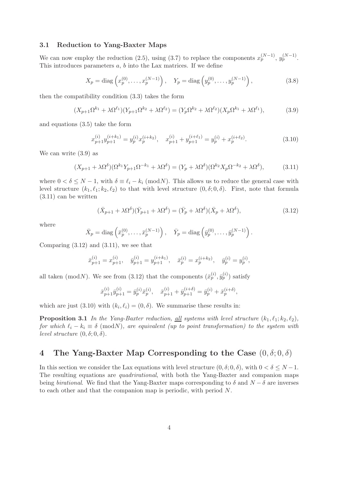#### 3.1 Reduction to Yang-Baxter Maps

We can now employ the reduction (2.5), using (3.7) to replace the components  $x_p^{(N-1)}$ ,  $y_p^{(N-1)}$ . This introduces parameters a, b into the Lax matrices. If we define

$$
X_p = \text{diag}\left(x_p^{(0)}, \dots, x_p^{(N-1)}\right), \quad Y_p = \text{diag}\left(y_p^{(0)}, \dots, y_p^{(N-1)}\right),\tag{3.8}
$$

then the compatibility condition (3.3) takes the form

$$
(X_{p+1}\Omega^{k_1} + \lambda \Omega^{\ell_1})(Y_{p+1}\Omega^{k_2} + \lambda \Omega^{\ell_2}) = (Y_p \Omega^{k_2} + \lambda \Omega^{\ell_2})(X_p \Omega^{k_1} + \lambda \Omega^{\ell_1}),
$$
(3.9)

and equations (3.5) take the form

$$
x_{p+1}^{(i)}y_{p+1}^{(i+k_1)} = y_p^{(i)}x_p^{(i+k_2)}, \quad x_{p+1}^{(i)} + y_{p+1}^{(i+\ell_1)} = y_p^{(i)} + x_p^{(i+\ell_2)}.
$$
 (3.10)

We can write (3.9) as

$$
(X_{p+1} + \lambda \Omega^{\delta})(\Omega^{k_1} Y_{p+1} \Omega^{-k_1} + \lambda \Omega^{\delta}) = (Y_p + \lambda \Omega^{\delta})(\Omega^{k_2} X_p \Omega^{-k_2} + \lambda \Omega^{\delta}), \tag{3.11}
$$

where  $0 < \delta \leq N-1$ , with  $\delta \equiv \ell_i - k_i \pmod{N}$ . This allows us to reduce the general case with level structure  $(k_1, \ell_1; k_2, \ell_2)$  to that with level structure  $(0, \delta; 0, \delta)$ . First, note that formula (3.11) can be written

$$
(\bar{X}_{p+1} + \lambda \Omega^{\delta})(\bar{Y}_{p+1} + \lambda \Omega^{\delta}) = (\bar{Y}_p + \lambda \Omega^{\delta})(\bar{X}_p + \lambda \Omega^{\delta}), \qquad (3.12)
$$

where

$$
\bar{X}_p = \text{diag}\left(\bar{x}_p^{(0)}, \dots, \bar{x}_p^{(N-1)}\right), \quad \bar{Y}_p = \text{diag}\left(\bar{y}_p^{(0)}, \dots, \bar{y}_p^{(N-1)}\right).
$$

Comparing  $(3.12)$  and  $(3.11)$ , we see that

$$
\bar{x}_{p+1}^{(i)} = x_{p+1}^{(i)}, \quad \bar{y}_{p+1}^{(i)} = y_{p+1}^{(i+k_1)}, \quad \bar{x}_p^{(i)} = x_p^{(i+k_2)}, \quad \bar{y}_p^{(i)} = y_p^{(i)},
$$

all taken (modN). We see from (3.12) that the components  $(\bar{x}_p^{(i)}, \bar{y}_p^{(i)})$  satisfy

$$
\bar{x}_{p+1}^{(i)}\bar{y}_{p+1}^{(i)} = \bar{y}_p^{(i)}\bar{x}_p^{(i)}, \quad \bar{x}_{p+1}^{(i)} + \bar{y}_{p+1}^{(i+\delta)} = \bar{y}_p^{(i)} + \bar{x}_p^{(i+\delta)},
$$

which are just (3.10) with  $(k_i, \ell_i) = (0, \delta)$ . We summarise these results in:

**Proposition 3.1** In the Yang-Baxter reduction, <u>all</u> systems with level structure  $(k_1, \ell_1; k_2, \ell_2)$ , for which  $\ell_i - k_i \equiv \delta \pmod{N}$ , are equivalent (up to point transformation) to the system with level structure  $(0, \delta; 0, \delta)$ .

#### 4 The Yang-Baxter Map Corresponding to the Case  $(0, \delta; 0, \delta)$

In this section we consider the Lax equations with level structure  $(0, \delta; 0, \delta)$ , with  $0 < \delta \le N - 1$ . The resulting equations are *quadrirational*, with both the Yang-Baxter and companion maps being *birational*. We find that the Yang-Baxter maps corresponding to  $\delta$  and  $N - \delta$  are inverses to each other and that the companion map is periodic, with period N.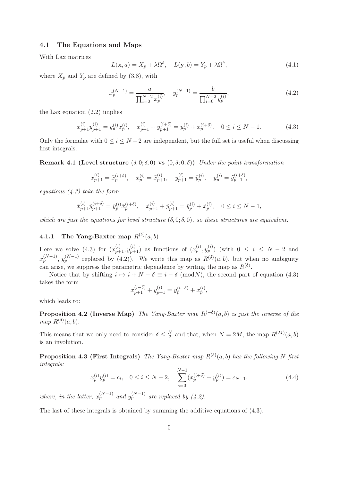#### 4.1 The Equations and Maps

With Lax matrices

$$
L(\mathbf{x}, a) = X_p + \lambda \Omega^{\delta}, \quad L(\mathbf{y}, b) = Y_p + \lambda \Omega^{\delta}, \tag{4.1}
$$

where  $X_p$  and  $Y_p$  are defined by (3.8), with

$$
x_p^{(N-1)} = \frac{a}{\prod_{i=0}^{N-2} x_p^{(i)}}, \quad y_p^{(N-1)} = \frac{b}{\prod_{i=0}^{N-2} y_p^{(i)}},\tag{4.2}
$$

the Lax equation (2.2) implies

$$
x_{p+1}^{(i)}y_{p+1}^{(i)} = y_p^{(i)}x_p^{(i)}, \quad x_{p+1}^{(i)} + y_{p+1}^{(i+\delta)} = y_p^{(i)} + x_p^{(i+\delta)}, \quad 0 \le i \le N-1.
$$
 (4.3)

Only the formulae with  $0 \le i \le N-2$  are independent, but the full set is useful when discussing first integrals.

Remark 4.1 (Level structure  $(\delta, 0; \delta, 0)$  vs  $(0, \delta; 0, \delta)$ ) Under the point transformation

$$
x_{p+1}^{(i)} = \tilde{x}_p^{(i+\delta)}, \quad x_p^{(i)} = \tilde{x}_{p+1}^{(i)}, \quad y_{p+1}^{(i)} = \tilde{y}_p^{(i)}, \quad y_p^{(i)} = \tilde{y}_{p+1}^{(i+\delta)},
$$

equations (4.3) take the form

$$
\tilde{x}_{p+1}^{(i)}\tilde{y}_{p+1}^{(i+\delta)} = \tilde{y}_p^{(i)}\tilde{x}_p^{(i+\delta)}, \quad \tilde{x}_{p+1}^{(i)} + \tilde{y}_{p+1}^{(i)} = \tilde{y}_p^{(i)} + \tilde{x}_p^{(i)}, \quad 0 \le i \le N-1,
$$

which are just the equations for level structure  $(\delta, 0; \delta, 0)$ , so these structures are equivalent.

#### **4.1.1** The Yang-Baxter map  $R^{(\delta)}(a, b)$

Here we solve (4.3) for  $(x_{p+1}^{(i)}, y_{p+1}^{(i)})$  as functions of  $(x_p^{(i)}, y_p^{(i)})$  (with  $0 \le i \le N-2$  and  $x_p^{(N-1)}$ ,  $y_p^{(N-1)}$  replaced by (4.2)). We write this map as  $R^{(\delta)}(a, b)$ , but when no ambiguity can arise, we suppress the parametric dependence by writing the map as  $R^{(\delta)}$ .

Notice that by shifting  $i \mapsto i + N - \delta \equiv i - \delta \pmod{N}$ , the second part of equation (4.3) takes the form

$$
x_{p+1}^{(i-\delta)} + y_{p+1}^{(i)} = y_p^{(i-\delta)} + x_p^{(i)},
$$

which leads to:

**Proposition 4.2 (Inverse Map)** The Yang-Baxter map  $R^{(-\delta)}(a, b)$  is just the <u>inverse</u> of the map  $R^{(\delta)}(a, b)$ .

This means that we only need to consider  $\delta \leq \frac{N}{2}$  $\frac{N}{2}$  and that, when  $N = 2M$ , the map  $R^{(M)}(a, b)$ is an involution.

**Proposition 4.3 (First Integrals)** The Yang-Baxter map  $R^{(\delta)}(a, b)$  has the following N first integrals:

$$
x_p^{(i)}y_p^{(i)} = c_i, \quad 0 \le i \le N - 2, \quad \sum_{i=0}^{N-1} (x_p^{(i+\delta)} + y_p^{(i)}) = c_{N-1}, \tag{4.4}
$$

where, in the latter,  $x_p^{(N-1)}$  and  $y_p^{(N-1)}$  are replaced by (4.2).

The last of these integrals is obtained by summing the additive equations of (4.3).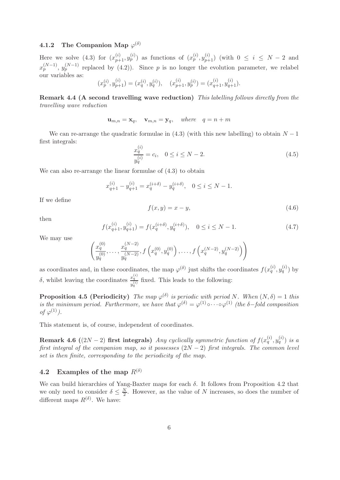#### 4.1.2 The Companion Map  $\varphi^{(\delta)}$

Here we solve (4.3) for  $(x_{p+1}^{(i)}, y_p^{(i)})$  as functions of  $(x_p^{(i)}, y_{p+1}^{(i)})$  (with  $0 \le i \le N-2$  and  $x_p^{(N-1)}$ ,  $y_p^{(N-1)}$  replaced by (4.2)). Since p is no longer the evolution parameter, we relabel our variables as:

$$
(x_p^{(i)}, y_{p+1}^{(i)}) = (x_q^{(i)}, y_q^{(i)}), \quad (x_{p+1}^{(i)}, y_p^{(i)}) = (x_{q+1}^{(i)}, y_{q+1}^{(i)}).
$$

Remark 4.4 (A second travelling wave reduction) This labelling follows directly from the travelling wave reduction

$$
\mathbf{u}_{m,n} = \mathbf{x}_q, \quad \mathbf{v}_{m,n} = \mathbf{y}_q, \quad \text{where} \quad q = n + m
$$

We can re-arrange the quadratic formulae in  $(4.3)$  (with this new labelling) to obtain  $N-1$ first integrals:

$$
\frac{x_q^{(i)}}{y_q^{(i)}} = c_i, \quad 0 \le i \le N - 2. \tag{4.5}
$$

We can also re-arrange the linear formulae of  $(4.3)$  to obtain

$$
x_{q+1}^{(i)} - y_{q+1}^{(i)} = x_q^{(i+\delta)} - y_q^{(i+\delta)}, \quad 0 \le i \le N - 1.
$$

If we define

$$
f(x,y) = x - y,\tag{4.6}
$$

then

$$
f(x_{q+1}^{(i)}, y_{q+1}^{(i)}) = f(x_q^{(i+\delta)}, y_q^{(i+\delta)}), \quad 0 \le i \le N-1.
$$
 (4.7)

We may use

$$
\left(\frac{x_q^{(0)}}{y_q^{(0)}},\ldots,\frac{x_q^{(N-2)}}{y_q^{(N-2)}},f\left(x_q^{(0)},y_q^{(0)}\right),\ldots,f\left(x_q^{(N-2)},y_q^{(N-2)}\right)\right)
$$

as coordinates and, in these coordinates, the map  $\varphi^{(\delta)}$  just shifts the coordinates  $f(x_q^{(i)}, y_q^{(i)})$  by δ, whilst leaving the coordinates  $\frac{x_q^{(i)}}{q_i}$  $\frac{x_q}{y_q^{(i)}}$  fixed. This leads to the following:

**Proposition 4.5 (Periodicity)** The map  $\varphi^{(\delta)}$  is periodic with period N. When  $(N, \delta) = 1$  this is the minimum period. Furthermore, we have that  $\varphi^{(\delta)} = \varphi^{(1)} \circ \cdots \circ \varphi^{(1)}$  (the  $\delta$ -fold composition of  $\varphi^{(1)}$ .

This statement is, of course, independent of coordinates.

Remark 4.6 ((2N – 2) first integrals) Any cyclically symmetric function of  $f(x_q^{(i)}, y_q^{(i)})$  is a first integral of the companion map, so it possesses  $(2N-2)$  first integrals. The common level set is then finite, corresponding to the periodicity of the map.

#### 4.2 Examples of the map  $R^{(\delta)}$

We can build hierarchies of Yang-Baxter maps for each  $\delta$ . It follows from Proposition 4.2 that we only need to consider  $\delta \leq \frac{N}{2}$  $\frac{N}{2}$ . However, as the value of N increases, so does the number of different maps  $R^{(\delta)}$ . We have: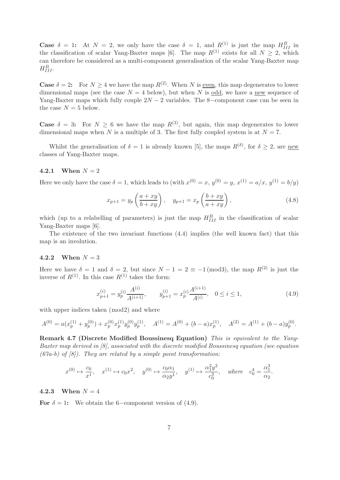**Case**  $\delta = 1$ : At  $N = 2$ , we only have the case  $\delta = 1$ , and  $R^{(1)}$  is just the map  $H_{III}^B$  in the classification of scalar Yang-Baxter maps [6]. The map  $R^{(1)}$  exists for all  $N \geq 2$ , which can therefore be considered as a multi-component generalisation of the scalar Yang-Baxter map  $H_{III}^B$ .

**Case**  $\delta = 2$ : For  $N \geq 4$  we have the map  $R^{(2)}$ . When N is even, this map degenerates to lower dimensional maps (see the case  $N = 4$  below), but when N is odd, we have a new sequence of Yang-Baxter maps which fully couple  $2N - 2$  variables. The 8-component case can be seen in the case  $N = 5$  below.

**Case**  $\delta = 3$ : For  $N \ge 6$  we have the map  $R^{(3)}$ , but again, this map degenerates to lower dimensional maps when N is a multiple of 3. The first fully coupled system is at  $N = 7$ .

Whilst the generalisation of  $\delta = 1$  is already known [5], the maps  $R^{(\delta)}$ , for  $\delta \geq 2$ , are new classes of Yang-Baxter maps.

#### 4.2.1 When  $N = 2$

Here we only have the case  $\delta = 1$ , which leads to (with  $x^{(0)} = x$ ,  $y^{(0)} = y$ ,  $x^{(1)} = a/x$ ,  $y^{(1)} = b/y$ )

$$
x_{p+1} = y_p \left( \frac{a+xy}{b+xy} \right), \quad y_{p+1} = x_p \left( \frac{b+xy}{a+xy} \right), \tag{4.8}
$$

which (up to a relabelling of parameters) is just the map  $H_{III}^B$  in the classification of scalar Yang-Baxter maps [6].

The existence of the two invariant functions (4.4) implies (the well known fact) that this map is an involution.

#### 4.2.2 When  $N = 3$

Here we have  $\delta = 1$  and  $\delta = 2$ , but since  $N - 1 = 2 \equiv -1 \pmod{3}$ , the map  $R^{(2)}$  is just the inverse of  $R^{(1)}$ . In this case  $R^{(1)}$  takes the form:

$$
x_{p+1}^{(i)} = y_p^{(i)} \frac{A^{(i)}}{A^{(i+1)}}, \qquad y_{p+1}^{(i)} = x_p^{(i)} \frac{A^{(i+1)}}{A^{(i)}}, \quad 0 \le i \le 1,
$$
\n
$$
(4.9)
$$

.

with upper indices taken (mod2) and where

$$
A^{(0)} = a(x_p^{(1)} + y_p^{(0)}) + x_p^{(0)}x_p^{(1)}y_p^{(0)}y_p^{(1)}, \quad A^{(1)} = A^{(0)} + (b-a)x_p^{(1)}, \quad A^{(2)} = A^{(1)} + (b-a)y_p^{(0)}.
$$

Remark 4.7 (Discrete Modified Boussinesq Equation) This is equivalent to the Yang-Baxter map derived in [8], associated with the discrete modified Boussinesq equation (see equation  $(67a-b)$  of  $[8]$ ). They are related by a simple point transformation:

$$
x^{(0)} \mapsto \frac{c_0}{x^1}, \quad x^{(1)} \mapsto c_0 x^2, \quad y^{(0)} \mapsto \frac{c_0 \alpha_1}{\alpha_2 y^1}, \quad y^{(1)} \mapsto \frac{\alpha_1^2 y^2}{c_0^3}, \quad where \quad c_0^4 = \frac{\alpha_1^3}{\alpha_2}
$$

#### 4.2.3 When  $N = 4$

For  $\delta = 1$ : We obtain the 6-component version of (4.9).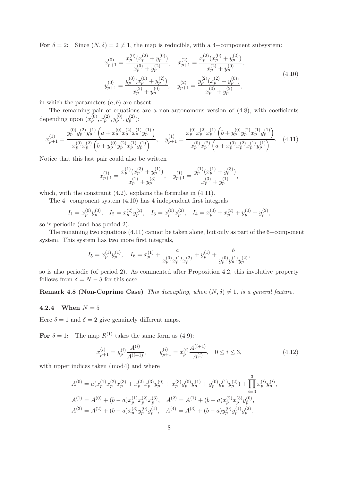For  $\delta = 2$ : Since  $(N, \delta) = 2 \neq 1$ , the map is reducible, with a 4-component subsystem:

$$
x_{p+1}^{(0)} = \frac{x_p^{(0)}(x_p^{(2)} + y_p^{(0)})}{x_p^{(0)} + y_p^{(2)}}, \quad x_{p+1}^{(2)} = \frac{x_p^{(2)}(x_p^{(0)} + y_p^{(2)})}{x_p^{(2)} + y_p^{(0)}},
$$
  
\n
$$
y_{p+1}^{(0)} = \frac{y_p^{(0)}(x_p^{(0)} + y_p^{(2)})}{x_p^{(2)} + y_p^{(0)}}, \quad y_{p+1}^{(2)} = \frac{y_p^{(2)}(x_p^{(2)} + y_p^{(0)})}{x_p^{(0)} + y_p^{(2)}},
$$
\n
$$
(4.10)
$$

in which the parameters  $(a, b)$  are absent.

The remaining pair of equations are a non-autonomous version of (4.8), with coefficients depending upon  $(x_p^{(0)}, x_p^{(2)}, y_p^{(0)}, y_p^{(2)})$ :

$$
x_{p+1}^{(1)} = \frac{y_p^{(0)} y_p^{(2)} y_p^{(1)} \left( a + x_p^{(0)} x_p^{(2)} x_p^{(1)} y_p^{(1)} \right)}{x_p^{(0)} x_p^{(2)} \left( b + y_p^{(0)} y_p^{(2)} x_p^{(1)} y_p^{(1)} \right)}, \quad y_{p+1}^{(1)} = \frac{x_p^{(0)} x_p^{(2)} x_p^{(1)} \left( b + y_p^{(0)} y_p^{(2)} x_p^{(1)} y_p^{(1)} \right)}{x_p^{(0)} x_p^{(2)} \left( a + x_p^{(0)} x_p^{(2)} x_p^{(1)} y_p^{(1)} \right)}.
$$
 (4.11)

Notice that this last pair could also be written

$$
x_{p+1}^{(1)} = \frac{x_p^{(1)}(x_p^{(3)} + y_p^{(1)})}{x_p^{(1)} + y_p^{(3)}}, \quad y_{p+1}^{(1)} = \frac{y_p^{(1)}(x_p^{(1)} + y_p^{(3)})}{x_p^{(3)} + y_p^{(1)}},
$$

which, with the constraint  $(4.2)$ , explains the formulae in  $(4.11)$ .

The 4−component system (4.10) has 4 independent first integrals

$$
I_1 = x_p^{(0)} y_p^{(0)}, \quad I_2 = x_p^{(2)} y_p^{(2)}, \quad I_3 = x_p^{(0)} x_p^{(2)}, \quad I_4 = x_p^{(0)} + x_p^{(2)} + y_p^{(0)} + y_p^{(2)},
$$

so is periodic (and has period 2).

The remaining two equations (4.11) cannot be taken alone, but only as part of the 6−component system. This system has two more first integrals,

$$
I_5 = x_p^{(1)}y_p^{(1)}, \quad I_6 = x_p^{(1)} + \frac{a}{x_p^{(0)}x_p^{(1)}x_p^{(2)}} + y_p^{(1)} + \frac{b}{y_p^{(0)}y_p^{(1)}y_p^{(2)}},
$$

so is also periodic (of period 2). As commented after Proposition 4.2, this involutive property follows from  $\delta = N - \delta$  for this case.

**Remark 4.8 (Non-Coprime Case)** This decoupling, when  $(N, \delta) \neq 1$ , is a general feature.

#### 4.2.4 When  $N = 5$

Here  $\delta = 1$  and  $\delta = 2$  give genuinely different maps.

For  $\delta = 1$ : The map  $R^{(1)}$  takes the same form as (4.9):

$$
x_{p+1}^{(i)} = y_p^{(i)} \frac{A^{(i)}}{A^{(i+1)}}, \qquad y_{p+1}^{(i)} = x_p^{(i)} \frac{A^{(i+1)}}{A^{(i)}}, \quad 0 \le i \le 3,
$$
\n
$$
(4.12)
$$

 $\alpha$ 

with upper indices taken  $(mod 4)$  and where

$$
A^{(0)} = a(x_p^{(1)}x_p^{(2)}x_p^{(3)} + x_p^{(2)}x_p^{(3)}y_p^{(0)} + x_p^{(3)}y_p^{(0)}y_p^{(1)} + y_p^{(0)}y_p^{(1)}y_p^{(2)}) + \prod_{i=0}^{3} x_p^{(i)}y_p^{(i)},
$$
  
\n
$$
A^{(1)} = A^{(0)} + (b - a)x_p^{(1)}x_p^{(2)}x_p^{(3)}, \quad A^{(2)} = A^{(1)} + (b - a)x_p^{(2)}x_p^{(3)}y_p^{(0)},
$$
  
\n
$$
A^{(3)} = A^{(2)} + (b - a)x_p^{(3)}y_p^{(0)}y_p^{(1)}, \quad A^{(4)} = A^{(3)} + (b - a)y_p^{(0)}y_p^{(1)}y_p^{(2)}.
$$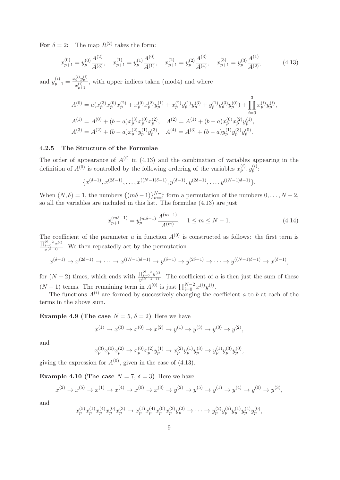For  $\delta = 2$ : The map  $R^{(2)}$  takes the form:

$$
x_{p+1}^{(0)} = y_p^{(0)} \frac{A^{(2)}}{A^{(3)}}, \quad x_{p+1}^{(1)} = y_p^{(1)} \frac{A^{(0)}}{A^{(1)}}, \quad x_{p+1}^{(2)} = y_p^{(2)} \frac{A^{(3)}}{A^{(4)}}, \quad x_{p+1}^{(3)} = y_p^{(3)} \frac{A^{(1)}}{A^{(2)}},\tag{4.13}
$$

and  $y_{p+1}^{(i)} = \frac{x_p^{(i)} y_p^{(i)}}{x_p^{(i)}}$  $\frac{p}{x_{p+1}^{(i)}}$ , with upper indices taken (mod4) and where

$$
A^{(0)} = a(x_p^{(3)}x_p^{(0)}x_p^{(2)} + x_p^{(0)}x_p^{(2)}y_p^{(1)} + x_p^{(2)}y_p^{(1)}y_p^{(3)} + y_p^{(1)}y_p^{(3)}y_p^{(0)}) + \prod_{i=0}^3 x_p^{(i)}y_p^{(i)},
$$
  
\n
$$
A^{(1)} = A^{(0)} + (b - a)x_p^{(3)}x_p^{(0)}x_p^{(2)}, \quad A^{(2)} = A^{(1)} + (b - a)x_p^{(0)}x_p^{(2)}y_p^{(1)},
$$
  
\n
$$
A^{(3)} = A^{(2)} + (b - a)x_p^{(2)}y_p^{(1)}y_p^{(3)}, \quad A^{(4)} = A^{(3)} + (b - a)y_p^{(1)}y_p^{(3)}y_p^{(0)}.
$$

#### 4.2.5 The Structure of the Formulae

The order of appearance of  $A^{(i)}$  in (4.13) and the combination of variables appearing in the definition of  $A^{(0)}$  is controlled by the following ordering of the variables  $x_p^{(i)}$ ,  $y_p^{(i)}$ :

$$
\{x^{(\delta-1)}, x^{(2\delta-1)}, \dots, x^{((N-1)\delta-1)}, y^{(\delta-1)}, y^{(2\delta-1)}, \dots, y^{((N-1)\delta-1)}\}.
$$

When  $(N, \delta) = 1$ , the numbers  $\{(m\delta - 1)\}_{m=1}^{N-1}$  form a permutation of the numbers  $0, \ldots, N-2$ , so all the variables are included in this list. The formulae (4.13) are just

$$
x_{p+1}^{(m\delta-1)} = y_p^{(m\delta-1)} \frac{A^{(m-1)}}{A^{(m)}}, \quad 1 \le m \le N-1.
$$
 (4.14)

The coefficient of the parameter a in function  $A^{(0)}$  is constructed as follows: the first term is  $\prod_{i=0}^{N-2} x^{(i)}$  $\frac{i=0}{x^{(\delta-1)}}$ . We then repeatedly act by the permutation

$$
x^{(\delta-1)} \to x^{(2\delta-1)} \to \cdots \to x^{((N-1)\delta-1)} \to y^{(\delta-1)} \to y^{(2\delta-1)} \to \cdots \to y^{((N-1)\delta-1)} \to x^{(\delta-1)},
$$

for  $(N-2)$  times, which ends with  $\frac{\prod_{i=0}^{N-2} y^{(i)}}{n(N-1-\delta)}$  $\frac{\prod_{i=0}^{n} y^{(N-1-i)}}{y^{(N-1-i)}}$ . The coefficient of a is then just the sum of these  $(N-1)$  terms. The remaining term in  $A^{(0)}$  is just  $\prod_{i=0}^{N-2} x^{(i)}y^{(i)}$ .

The functions  $A^{(i)}$  are formed by successively changing the coefficient a to b at each of the terms in the above sum.

**Example 4.9 (The case**  $N = 5, \delta = 2$ ) Here we have

$$
x^{(1)} \to x^{(3)} \to x^{(0)} \to x^{(2)} \to y^{(1)} \to y^{(3)} \to y^{(0)} \to y^{(2)},
$$

and

$$
x_p^{(3)}x_p^{(0)}x_p^{(2)} \rightarrow x_p^{(0)}x_p^{(2)}y_p^{(1)} \rightarrow x_p^{(2)}y_p^{(1)}y_p^{(3)} \rightarrow y_p^{(1)}y_p^{(3)}y_p^{(0)},
$$

giving the expression for  $A^{(0)}$ , given in the case of (4.13).

**Example 4.10 (The case**  $N = 7, \delta = 3$ ) Here we have

$$
x^{(2)} \to x^{(5)} \to x^{(1)} \to x^{(4)} \to x^{(0)} \to x^{(3)} \to y^{(2)} \to y^{(5)} \to y^{(1)} \to y^{(4)} \to y^{(0)} \to y^{(3)},
$$

and

$$
x_p^{(5)}x_p^{(1)}x_p^{(4)}x_p^{(0)}x_p^{(3)} \to x_p^{(1)}x_p^{(4)}x_p^{(0)}x_p^{(3)}y_p^{(2)} \to \cdots \to y_p^{(2)}y_p^{(5)}y_p^{(1)}y_p^{(4)}y_p^{(0)},
$$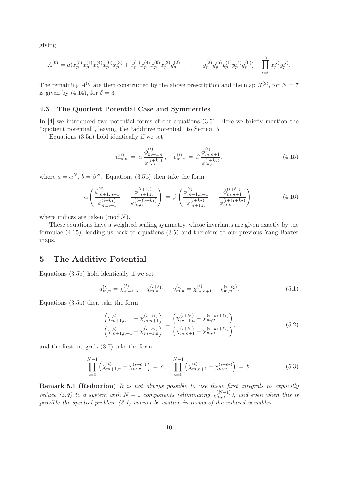giving

$$
A^{(0)} = a(x_p^{(5)}x_p^{(1)}x_p^{(4)}x_p^{(0)}x_p^{(3)} + x_p^{(1)}x_p^{(4)}x_p^{(0)}x_p^{(3)}y_p^{(2)} + \cdots + y_p^{(2)}y_p^{(5)}y_p^{(1)}y_p^{(4)}y_p^{(0)}) + \prod_{i=0}^5 x_p^{(i)}y_p^{(i)}.
$$

The remaining  $A^{(i)}$  are then constructed by the above prescription and the map  $R^{(3)}$ , for  $N = 7$ is given by (4.14), for  $\delta = 3$ .

#### 4.3 The Quotient Potential Case and Symmetries

In [4] we introduced two potential forms of our equations (3.5). Here we briefly mention the "quotient potential", leaving the "additive potential" to Section 5.

Equations (3.5a) hold identically if we set

$$
u_{m,n}^{(i)} = \alpha \frac{\phi_{m+1,n}^{(i)}}{\phi_{m,n}^{(i+k_1)}}, \quad v_{m,n}^{(i)} = \beta \frac{\phi_{m,n+1}^{(i)}}{\phi_{m,n}^{(i+k_2)}},\tag{4.15}
$$

where  $a = \alpha^N$ ,  $b = \beta^N$ . Equations (3.5b) then take the form

$$
\alpha \left( \frac{\phi_{m+1,n+1}^{(i)}}{\phi_{m,n+1}^{(i+k_1)}} - \frac{\phi_{m+1,n}^{(i+\ell_2)}}{\phi_{m,n}^{(i+\ell_2+k_1)}} \right) = \beta \left( \frac{\phi_{m+1,n+1}^{(i)}}{\phi_{m+1,n}^{(i+k_2)}} - \frac{\phi_{m,n+1}^{(i+\ell_1)}}{\phi_{m,n}^{(i+\ell_1+k_2)}} \right),\tag{4.16}
$$

where indices are taken  $(mod N)$ .

These equations have a weighted scaling symmetry, whose invariants are given exactly by the formulae (4.15), leading us back to equations (3.5) and therefore to our previous Yang-Baxter maps.

#### 5 The Additive Potential

Equations (3.5b) hold identically if we set

$$
u_{m,n}^{(i)} = \chi_{m+1,n}^{(i)} - \chi_{m,n}^{(i+\ell_1)}, \quad v_{m,n}^{(i)} = \chi_{m,n+1}^{(i)} - \chi_{m,n}^{(i+\ell_2)}.
$$
\n
$$
(5.1)
$$

Equations (3.5a) then take the form

$$
\frac{\left(\chi_{m+1,n+1}^{(i)} - \chi_{m,n+1}^{(i+\ell_1)}\right)}{\left(\chi_{m+1,n+1}^{(i)} - \chi_{m+1,n}^{(i+\ell_2)}\right)} = \frac{\left(\chi_{m+1,n}^{(i+k_2)} - \chi_{m,n}^{(i+k_2+\ell_1)}\right)}{\left(\chi_{m,n+1}^{(i+k_1)} - \chi_{m,n}^{(i+k_1+\ell_2)}\right)},\tag{5.2}
$$

and the first integrals (3.7) take the form

$$
\prod_{i=0}^{N-1} \left( \chi_{m+1,n}^{(i)} - \chi_{m,n}^{(i+\ell_1)} \right) = a, \quad \prod_{i=0}^{N-1} \left( \chi_{m,n+1}^{(i)} - \chi_{m,n}^{(i+\ell_2)} \right) = b.
$$
\n(5.3)

Remark 5.1 (Reduction) It is not always possible to use these first integrals to explicitly reduce (5.2) to a system with  $N-1$  components (eliminating  $\chi_{m,n}^{(N-1)}$ ), and even when this is possible the spectral problem (3.1) cannot be written in terms of the reduced variables.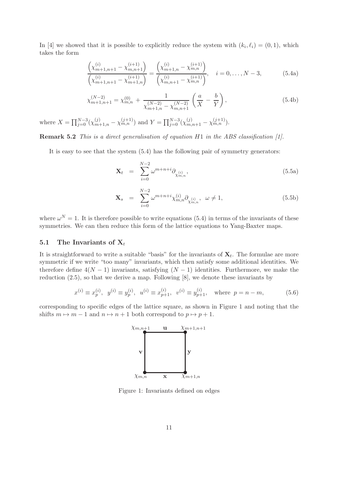In [4] we showed that it is possible to explicitly reduce the system with  $(k_i, \ell_i) = (0, 1)$ , which takes the form

$$
\frac{\left(\chi_{m+1,n+1}^{(i)} - \chi_{m,n+1}^{(i+1)}\right)}{\left(\chi_{m+1,n+1}^{(i)} - \chi_{m+1,n}^{(i+1)}\right)} = \frac{\left(\chi_{m+1,n}^{(i)} - \chi_{m,n}^{(i+1)}\right)}{\left(\chi_{m,n+1}^{(i)} - \chi_{m,n}^{(i+1)}\right)}, \quad i = 0, \dots, N-3,
$$
\n(5.4a)

$$
\chi_{m+1,n+1}^{(N-2)} = \chi_{m,n}^{(0)} + \frac{1}{\chi_{m+1,n}^{(N-2)} - \chi_{m,n+1}^{(N-2)}} \left(\frac{a}{X} - \frac{b}{Y}\right),\tag{5.4b}
$$

where  $X = \prod_{j=0}^{N-3} (\chi_{m+1,n}^{(j)} - \chi_{m,n}^{(j+1)})$  and  $Y = \prod_{j=0}^{N-3} (\chi_{m,n+1}^{(j)} - \chi_{m,n}^{(j+1)})$ .

Remark 5.2 This is a direct generalisation of equation H1 in the ABS classification [1].

It is easy to see that the system (5.4) has the following pair of symmetry generators:

$$
\mathbf{X}_{t} = \sum_{i=0}^{N-2} \omega^{m+n+i} \partial_{\chi_{m,n}^{(i)}}, \qquad (5.5a)
$$

$$
\mathbf{X}_s = \sum_{i=0}^{N-2} \omega^{m+n+i} \chi_{m,n}^{(i)} \partial_{\chi_{m,n}^{(i)}}, \ \omega \neq 1,\tag{5.5b}
$$

where  $\omega^N = 1$ . It is therefore possible to write equations (5.4) in terms of the invariants of these symmetries. We can then reduce this form of the lattice equations to Yang-Baxter maps.

#### 5.1 The Invariants of  $X_t$

It is straightforward to write a suitable "basis" for the invariants of  $\mathbf{X}_t$ . The formulae are more symmetric if we write "too many" invariants, which then satisfy some additional identities. We therefore define  $4(N-1)$  invariants, satisfying  $(N-1)$  identities. Furthermore, we make the reduction (2.5), so that we derive a map. Following [8], we denote these invariants by

$$
x^{(i)} \equiv x_p^{(i)}, \ y^{(i)} \equiv y_p^{(i)}, \ u^{(i)} \equiv x_{p+1}^{(i)}, \ v^{(i)} \equiv y_{p+1}^{(i)}, \text{ where } p = n-m,
$$
 (5.6)

corresponding to specific edges of the lattice square, as shown in Figure 1 and noting that the shifts  $m \mapsto m - 1$  and  $n \mapsto n + 1$  both correspond to  $p \mapsto p + 1$ .



Figure 1: Invariants defined on edges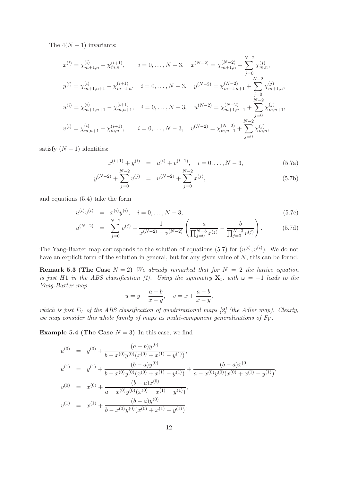The  $4(N-1)$  invariants:

$$
x^{(i)} = \chi_{m+1,n}^{(i)} - \chi_{m,n}^{(i+1)}, \qquad i = 0, \dots, N-3, \quad x^{(N-2)} = \chi_{m+1,n}^{(N-2)} + \sum_{j=0}^{N-2} \chi_{m,n}^{(j)},
$$
  
\n
$$
y^{(i)} = \chi_{m+1,n+1}^{(i)} - \chi_{m+1,n}^{(i+1)}, \qquad i = 0, \dots, N-3, \quad y^{(N-2)} = \chi_{m+1,n+1}^{(N-2)} + \sum_{j=0}^{N-2} \chi_{m+1,n}^{(j)},
$$
  
\n
$$
u^{(i)} = \chi_{m+1,n+1}^{(i)} - \chi_{m,n+1}^{(i+1)}, \qquad i = 0, \dots, N-3, \quad u^{(N-2)} = \chi_{m+1,n+1}^{(N-2)} + \sum_{j=0}^{N-2} \chi_{m,n+1}^{(j)},
$$
  
\n
$$
v^{(i)} = \chi_{m,n+1}^{(i)} - \chi_{m,n}^{(i+1)}, \qquad i = 0, \dots, N-3, \quad v^{(N-2)} = \chi_{m,n+1}^{(N-2)} + \sum_{j=0}^{N-2} \chi_{m,n}^{(j)},
$$

satisfy  $(N-1)$  identities:

$$
x^{(i+1)} + y^{(i)} = u^{(i)} + v^{(i+1)}, \quad i = 0, \dots, N-3,
$$
\n(5.7a)

$$
y^{(N-2)} + \sum_{j=0}^{N-2} v^{(j)} = u^{(N-2)} + \sum_{j=0}^{N-2} x^{(j)},
$$
\n(5.7b)

and equations (5.4) take the form

$$
u^{(i)}v^{(i)} = x^{(i)}y^{(i)}, \quad i = 0, \dots, N-3,
$$
\n(5.7c)

$$
u^{(N-2)} = \sum_{j=0}^{N-2} v^{(j)} + \frac{1}{x^{(N-2)} - v^{(N-2)}} \left( \frac{a}{\prod_{j=0}^{N-3} x^{(j)}} - \frac{b}{\prod_{j=0}^{N-3} v^{(j)}} \right).
$$
 (5.7d)

The Yang-Baxter map corresponds to the solution of equations (5.7) for  $(u^{(i)}, v^{(i)})$ . We do not have an explicit form of the solution in general, but for any given value of N, this can be found.

**Remark 5.3 (The Case**  $N = 2$ ) We already remarked that for  $N = 2$  the lattice equation is just H1 in the ABS classification [1]. Using the symmetry  $\mathbf{X}_t$ , with  $\omega = -1$  leads to the Yang-Baxter map

$$
u = y + \frac{a-b}{x-y}
$$
,  $v = x + \frac{a-b}{x-y}$ ,

which is just  $F_V$  of the ABS classification of quadrirational maps [2] (the Adler map). Clearly, we may consider this whole family of maps as multi-component generalisations of  $F_V$ .

**Example 5.4 (The Case**  $N = 3$ ) In this case, we find

$$
u^{(0)} = y^{(0)} + \frac{(a-b)y^{(0)}}{b-x^{(0)}y^{(0)}(x^{(0)} + x^{(1)} - y^{(1)})},
$$
  
\n
$$
u^{(1)} = y^{(1)} + \frac{(b-a)y^{(0)}}{b-x^{(0)}y^{(0)}(x^{(0)} + x^{(1)} - y^{(1)})} + \frac{(b-a)x^{(0)}}{a-x^{(0)}y^{(0)}(x^{(0)} + x^{(1)} - y^{(1)})},
$$
  
\n
$$
v^{(0)} = x^{(0)} + \frac{(b-a)x^{(0)}}{a-x^{(0)}y^{(0)}(x^{(0)} + x^{(1)} - y^{(1)})},
$$
  
\n
$$
v^{(1)} = x^{(1)} + \frac{(b-a)y^{(0)}}{b-x^{(0)}y^{(0)}(x^{(0)} + x^{(1)} - y^{(1)})}.
$$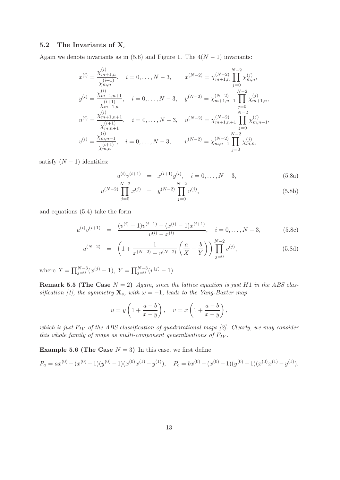#### 5.2 The Invariants of  $X_s$

Again we denote invariants as in (5.6) and Figure 1. The  $4(N-1)$  invariants:

$$
x^{(i)} = \frac{\chi_{m+1,n}^{(i)}}{\chi_{m,n}^{(i+1)}}, \quad i = 0, \dots, N-3, \qquad x^{(N-2)} = \chi_{m+1,n}^{(N-2)} \prod_{j=0}^{N-2} \chi_{m,n}^{(j)},
$$
  
\n
$$
y^{(i)} = \frac{\chi_{m+1,n+1}^{(i)}}{\chi_{m+1,n}^{(i+1)}}, \quad i = 0, \dots, N-3, \quad y^{(N-2)} = \chi_{m+1,n+1}^{(N-2)} \prod_{j=0}^{N-2} \chi_{m+1,n}^{(j)},
$$
  
\n
$$
u^{(i)} = \frac{\chi_{m+1,n+1}^{(i)}}{\chi_{m,n+1}^{(i+1)}}, \quad i = 0, \dots, N-3, \quad u^{(N-2)} = \chi_{m+1,n+1}^{(N-2)} \prod_{j=0}^{N-2} \chi_{m,n+1}^{(j)},
$$
  
\n
$$
v^{(i)} = \frac{\chi_{m,n+1}^{(i)}}{\chi_{m,n}^{(i+1)}}, \quad i = 0, \dots, N-3, \qquad v^{(N-2)} = \chi_{m,n+1}^{(N-2)} \prod_{j=0}^{N-2} \chi_{m,n}^{(j)},
$$

satisfy  $(N-1)$  identities:

$$
u^{(i)}v^{(i+1)} = x^{(i+1)}y^{(i)}, \quad i = 0, \dots, N-3,
$$
\n(5.8a)

$$
u^{(N-2)} \prod_{j=0}^{N-2} x^{(j)} = y^{(N-2)} \prod_{j=0}^{N-2} v^{(j)}, \tag{5.8b}
$$

and equations (5.4) take the form

$$
u^{(i)}v^{(i+1)} = \frac{(v^{(i)} - 1)v^{(i+1)} - (x^{(i)} - 1)x^{(i+1)}}{v^{(i)} - x^{(i)}}, \quad i = 0, \dots, N-3,
$$
 (5.8c)

$$
u^{(N-2)} = \left(1 + \frac{1}{x^{(N-2)} - v^{(N-2)}} \left(\frac{a}{X} - \frac{b}{Y}\right)\right) \prod_{j=0}^{N-2} v^{(j)}, \tag{5.8d}
$$

where  $X = \prod_{j=0}^{N-3} (x^{(j)} - 1)$ ,  $Y = \prod_{j=0}^{N-3} (v^{(j)} - 1)$ .

**Remark 5.5 (The Case**  $N = 2$ ) Again, since the lattice equation is just H1 in the ABS classification [1], the symmetry  $\mathbf{X}_s$ , with  $\omega = -1$ , leads to the Yang-Baxter map

$$
u = y \left( 1 + \frac{a-b}{x-y} \right), \quad v = x \left( 1 + \frac{a-b}{x-y} \right),
$$

which is just  $F_{IV}$  of the ABS classification of quadrirational maps [2]. Clearly, we may consider this whole family of maps as multi-component generalisations of  $F_{IV}$ .

**Example 5.6 (The Case**  $N = 3$ ) In this case, we first define

$$
P_a = ax^{(0)} - (x^{(0)} - 1)(y^{(0)} - 1)(x^{(0)}x^{(1)} - y^{(1)}), \quad P_b = bx^{(0)} - (x^{(0)} - 1)(y^{(0)} - 1)(x^{(0)}x^{(1)} - y^{(1)}).
$$